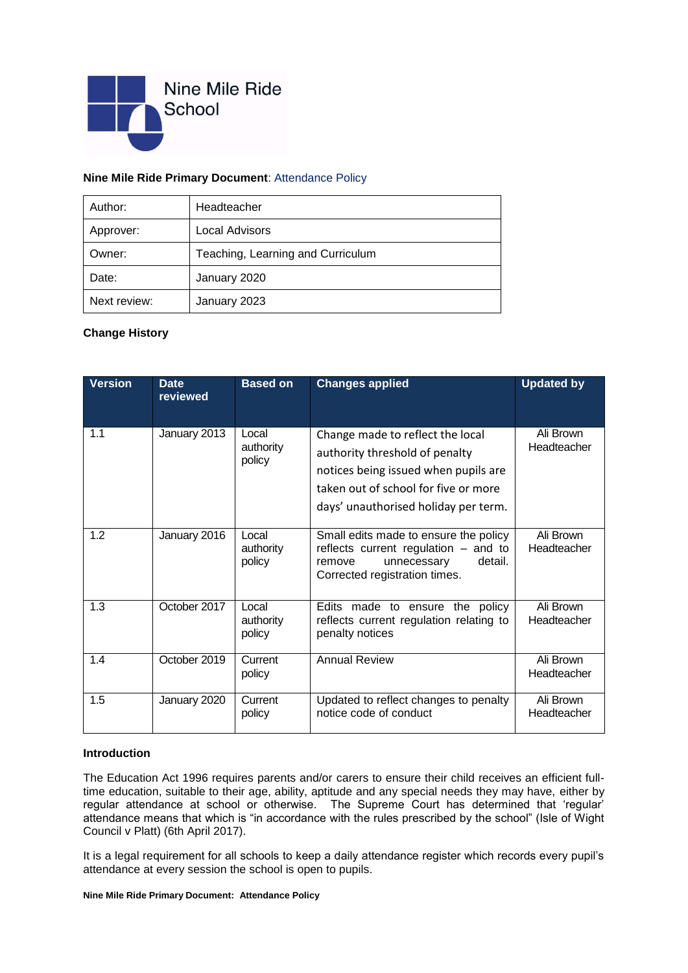

## **Nine Mile Ride Primary Document**: Attendance Policy

| Author:      | Headteacher                       |  |  |
|--------------|-----------------------------------|--|--|
| Approver:    | Local Advisors                    |  |  |
| Owner:       | Teaching, Learning and Curriculum |  |  |
| Date:        | January 2020                      |  |  |
| Next review: | January 2023                      |  |  |

## **Change History**

| <b>Version</b> | <b>Date</b><br>reviewed | <b>Based on</b>              | <b>Changes applied</b>                                                                                                                                                                     | <b>Updated by</b>        |
|----------------|-------------------------|------------------------------|--------------------------------------------------------------------------------------------------------------------------------------------------------------------------------------------|--------------------------|
| 1.1            | January 2013            | Local<br>authority<br>policy | Change made to reflect the local<br>authority threshold of penalty<br>notices being issued when pupils are<br>taken out of school for five or more<br>days' unauthorised holiday per term. | Ali Brown<br>Headteacher |
| 1.2            | January 2016            | Local<br>authority<br>policy | Small edits made to ensure the policy<br>reflects current regulation - and to<br>unnecessary<br>detail.<br>remove<br>Corrected registration times.                                         | Ali Brown<br>Headteacher |
| 1.3            | October 2017            | Local<br>authority<br>policy | Edits made to ensure<br>the policy<br>reflects current regulation relating to<br>penalty notices                                                                                           | Ali Brown<br>Headteacher |
| 1.4            | October 2019            | Current<br>policy            | <b>Annual Review</b>                                                                                                                                                                       | Ali Brown<br>Headteacher |
| 1.5            | January 2020            | Current<br>policy            | Updated to reflect changes to penalty<br>notice code of conduct                                                                                                                            | Ali Brown<br>Headteacher |

## **Introduction**

The Education Act 1996 requires parents and/or carers to ensure their child receives an efficient fulltime education, suitable to their age, ability, aptitude and any special needs they may have, either by regular attendance at school or otherwise. The Supreme Court has determined that 'regular' attendance means that which is "in accordance with the rules prescribed by the school" (Isle of Wight Council v Platt) (6th April 2017).

It is a legal requirement for all schools to keep a daily attendance register which records every pupil's attendance at every session the school is open to pupils.

#### **Nine Mile Ride Primary Document: Attendance Policy**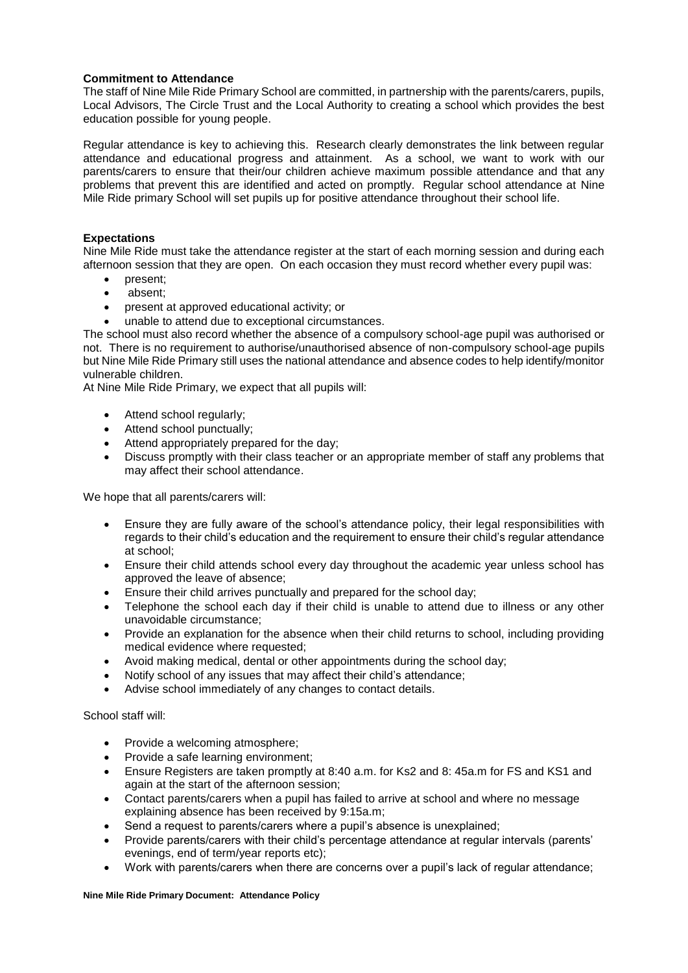## **Commitment to Attendance**

The staff of Nine Mile Ride Primary School are committed, in partnership with the parents/carers, pupils, Local Advisors, The Circle Trust and the Local Authority to creating a school which provides the best education possible for young people.

Regular attendance is key to achieving this. Research clearly demonstrates the link between regular attendance and educational progress and attainment. As a school, we want to work with our parents/carers to ensure that their/our children achieve maximum possible attendance and that any problems that prevent this are identified and acted on promptly. Regular school attendance at Nine Mile Ride primary School will set pupils up for positive attendance throughout their school life.

## **Expectations**

Nine Mile Ride must take the attendance register at the start of each morning session and during each afternoon session that they are open. On each occasion they must record whether every pupil was:

- present:
- absent;
- present at approved educational activity; or
- unable to attend due to exceptional circumstances.

The school must also record whether the absence of a compulsory school-age pupil was authorised or not. There is no requirement to authorise/unauthorised absence of non-compulsory school-age pupils but Nine Mile Ride Primary still uses the national attendance and absence codes to help identify/monitor vulnerable children.

At Nine Mile Ride Primary, we expect that all pupils will:

- Attend school regularly;
- Attend school punctually;
- Attend appropriately prepared for the day;
- Discuss promptly with their class teacher or an appropriate member of staff any problems that may affect their school attendance.

We hope that all parents/carers will:

- Ensure they are fully aware of the school's attendance policy, their legal responsibilities with regards to their child's education and the requirement to ensure their child's regular attendance at school;
- Ensure their child attends school every day throughout the academic year unless school has approved the leave of absence;
- Ensure their child arrives punctually and prepared for the school day;
- Telephone the school each day if their child is unable to attend due to illness or any other unavoidable circumstance;
- Provide an explanation for the absence when their child returns to school, including providing medical evidence where requested;
- Avoid making medical, dental or other appointments during the school day;
- Notify school of any issues that may affect their child's attendance;
- Advise school immediately of any changes to contact details.

School staff will:

- Provide a welcoming atmosphere;
- Provide a safe learning environment;
- Ensure Registers are taken promptly at 8:40 a.m. for Ks2 and 8: 45a.m for FS and KS1 and again at the start of the afternoon session;
- Contact parents/carers when a pupil has failed to arrive at school and where no message explaining absence has been received by 9:15a.m;
- Send a request to parents/carers where a pupil's absence is unexplained;
- Provide parents/carers with their child's percentage attendance at regular intervals (parents' evenings, end of term/year reports etc);
- Work with parents/carers when there are concerns over a pupil's lack of regular attendance;

#### **Nine Mile Ride Primary Document: Attendance Policy**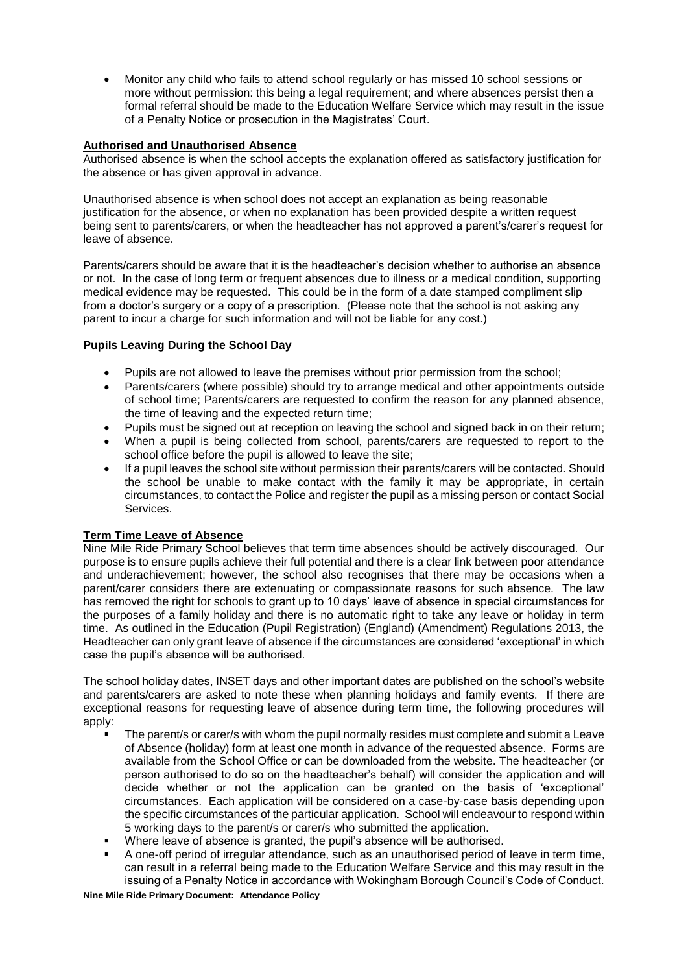Monitor any child who fails to attend school regularly or has missed 10 school sessions or more without permission: this being a legal requirement; and where absences persist then a formal referral should be made to the Education Welfare Service which may result in the issue of a Penalty Notice or prosecution in the Magistrates' Court.

## **Authorised and Unauthorised Absence**

Authorised absence is when the school accepts the explanation offered as satisfactory justification for the absence or has given approval in advance.

Unauthorised absence is when school does not accept an explanation as being reasonable justification for the absence, or when no explanation has been provided despite a written request being sent to parents/carers, or when the headteacher has not approved a parent's/carer's request for leave of absence.

Parents/carers should be aware that it is the headteacher's decision whether to authorise an absence or not. In the case of long term or frequent absences due to illness or a medical condition, supporting medical evidence may be requested. This could be in the form of a date stamped compliment slip from a doctor's surgery or a copy of a prescription. (Please note that the school is not asking any parent to incur a charge for such information and will not be liable for any cost.)

# **Pupils Leaving During the School Day**

- Pupils are not allowed to leave the premises without prior permission from the school;
- Parents/carers (where possible) should try to arrange medical and other appointments outside of school time; Parents/carers are requested to confirm the reason for any planned absence, the time of leaving and the expected return time;
- Pupils must be signed out at reception on leaving the school and signed back in on their return;
- When a pupil is being collected from school, parents/carers are requested to report to the school office before the pupil is allowed to leave the site;
- If a pupil leaves the school site without permission their parents/carers will be contacted. Should the school be unable to make contact with the family it may be appropriate, in certain circumstances, to contact the Police and register the pupil as a missing person or contact Social Services.

## **Term Time Leave of Absence**

Nine Mile Ride Primary School believes that term time absences should be actively discouraged. Our purpose is to ensure pupils achieve their full potential and there is a clear link between poor attendance and underachievement; however, the school also recognises that there may be occasions when a parent/carer considers there are extenuating or compassionate reasons for such absence. The law has removed the right for schools to grant up to 10 days' leave of absence in special circumstances for the purposes of a family holiday and there is no automatic right to take any leave or holiday in term time. As outlined in the Education (Pupil Registration) (England) (Amendment) Regulations 2013, the Headteacher can only grant leave of absence if the circumstances are considered 'exceptional' in which case the pupil's absence will be authorised.

The school holiday dates, INSET days and other important dates are published on the school's website and parents/carers are asked to note these when planning holidays and family events. If there are exceptional reasons for requesting leave of absence during term time, the following procedures will apply:

- The parent/s or carer/s with whom the pupil normally resides must complete and submit a Leave of Absence (holiday) form at least one month in advance of the requested absence. Forms are available from the School Office or can be downloaded from the website. The headteacher (or person authorised to do so on the headteacher's behalf) will consider the application and will decide whether or not the application can be granted on the basis of 'exceptional' circumstances. Each application will be considered on a case-by-case basis depending upon the specific circumstances of the particular application. School will endeavour to respond within 5 working days to the parent/s or carer/s who submitted the application.
- Where leave of absence is granted, the pupil's absence will be authorised.
- A one-off period of irregular attendance, such as an unauthorised period of leave in term time, can result in a referral being made to the Education Welfare Service and this may result in the issuing of a Penalty Notice in accordance with Wokingham Borough Council's Code of Conduct.

### **Nine Mile Ride Primary Document: Attendance Policy**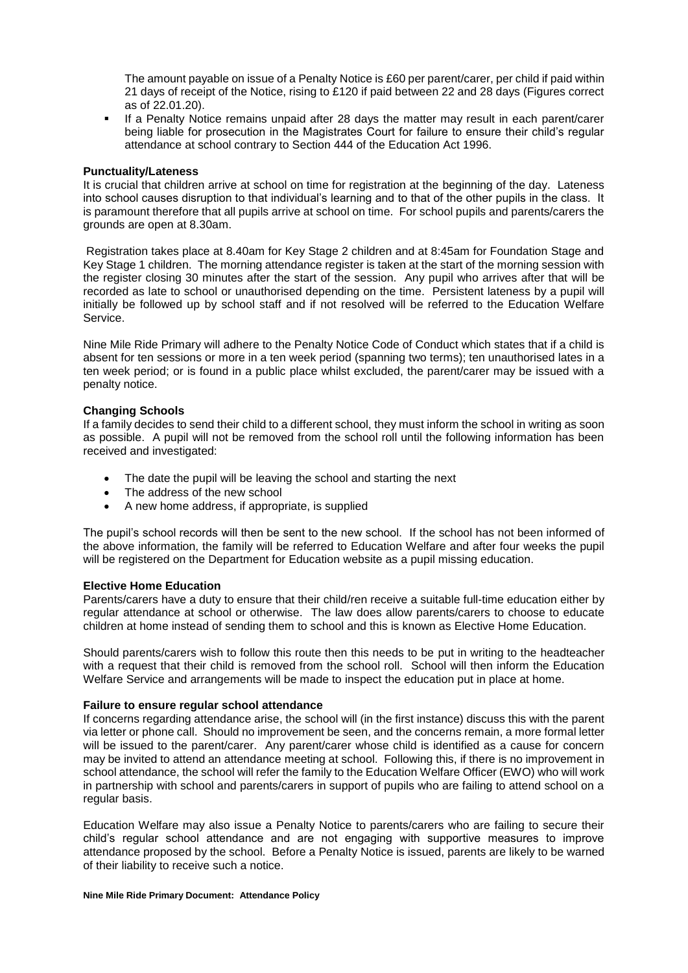The amount payable on issue of a Penalty Notice is £60 per parent/carer, per child if paid within 21 days of receipt of the Notice, rising to £120 if paid between 22 and 28 days (Figures correct as of 22.01.20).

**If a Penalty Notice remains unpaid after 28 days the matter may result in each parent/carer** being liable for prosecution in the Magistrates Court for failure to ensure their child's regular attendance at school contrary to Section 444 of the Education Act 1996.

### **Punctuality/Lateness**

It is crucial that children arrive at school on time for registration at the beginning of the day. Lateness into school causes disruption to that individual's learning and to that of the other pupils in the class. It is paramount therefore that all pupils arrive at school on time. For school pupils and parents/carers the grounds are open at 8.30am.

Registration takes place at 8.40am for Key Stage 2 children and at 8:45am for Foundation Stage and Key Stage 1 children. The morning attendance register is taken at the start of the morning session with the register closing 30 minutes after the start of the session. Any pupil who arrives after that will be recorded as late to school or unauthorised depending on the time. Persistent lateness by a pupil will initially be followed up by school staff and if not resolved will be referred to the Education Welfare Service.

Nine Mile Ride Primary will adhere to the Penalty Notice Code of Conduct which states that if a child is absent for ten sessions or more in a ten week period (spanning two terms); ten unauthorised lates in a ten week period; or is found in a public place whilst excluded, the parent/carer may be issued with a penalty notice.

### **Changing Schools**

If a family decides to send their child to a different school, they must inform the school in writing as soon as possible. A pupil will not be removed from the school roll until the following information has been received and investigated:

- The date the pupil will be leaving the school and starting the next
- The address of the new school
- A new home address, if appropriate, is supplied

The pupil's school records will then be sent to the new school. If the school has not been informed of the above information, the family will be referred to Education Welfare and after four weeks the pupil will be registered on the Department for Education website as a pupil missing education.

### **Elective Home Education**

Parents/carers have a duty to ensure that their child/ren receive a suitable full-time education either by regular attendance at school or otherwise. The law does allow parents/carers to choose to educate children at home instead of sending them to school and this is known as Elective Home Education.

Should parents/carers wish to follow this route then this needs to be put in writing to the headteacher with a request that their child is removed from the school roll. School will then inform the Education Welfare Service and arrangements will be made to inspect the education put in place at home.

### **Failure to ensure regular school attendance**

If concerns regarding attendance arise, the school will (in the first instance) discuss this with the parent via letter or phone call. Should no improvement be seen, and the concerns remain, a more formal letter will be issued to the parent/carer. Any parent/carer whose child is identified as a cause for concern may be invited to attend an attendance meeting at school. Following this, if there is no improvement in school attendance, the school will refer the family to the Education Welfare Officer (EWO) who will work in partnership with school and parents/carers in support of pupils who are failing to attend school on a regular basis.

Education Welfare may also issue a Penalty Notice to parents/carers who are failing to secure their child's regular school attendance and are not engaging with supportive measures to improve attendance proposed by the school. Before a Penalty Notice is issued, parents are likely to be warned of their liability to receive such a notice.